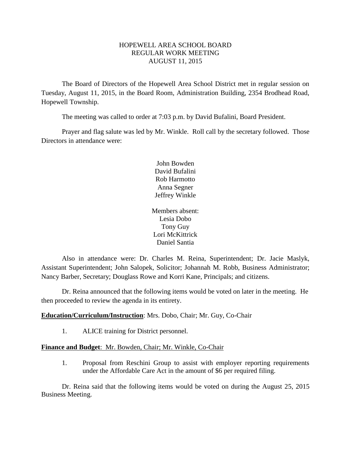# HOPEWELL AREA SCHOOL BOARD REGULAR WORK MEETING AUGUST 11, 2015

The Board of Directors of the Hopewell Area School District met in regular session on Tuesday, August 11, 2015, in the Board Room, Administration Building, 2354 Brodhead Road, Hopewell Township.

The meeting was called to order at 7:03 p.m. by David Bufalini, Board President.

Prayer and flag salute was led by Mr. Winkle. Roll call by the secretary followed. Those Directors in attendance were:

> John Bowden David Bufalini Rob Harmotto Anna Segner Jeffrey Winkle

Members absent: Lesia Dobo Tony Guy Lori McKittrick Daniel Santia

Also in attendance were: Dr. Charles M. Reina, Superintendent; Dr. Jacie Maslyk, Assistant Superintendent; John Salopek, Solicitor; Johannah M. Robb, Business Administrator; Nancy Barber, Secretary; Douglass Rowe and Korri Kane, Principals; and citizens.

Dr. Reina announced that the following items would be voted on later in the meeting. He then proceeded to review the agenda in its entirety.

# **Education/Curriculum/Instruction**: Mrs. Dobo, Chair; Mr. Guy, Co-Chair

1. ALICE training for District personnel.

# **Finance and Budget**: Mr. Bowden, Chair; Mr. Winkle, Co-Chair

1. Proposal from Reschini Group to assist with employer reporting requirements under the Affordable Care Act in the amount of \$6 per required filing.

Dr. Reina said that the following items would be voted on during the August 25, 2015 Business Meeting.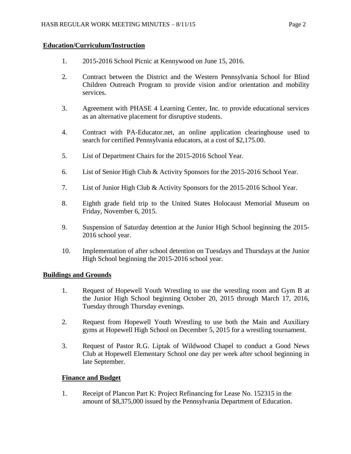# **Education/Curriculum/Instruction**

- 1. 2015-2016 School Picnic at Kennywood on June 15, 2016.
- 2. Contract between the District and the Western Pennsylvania School for Blind Children Outreach Program to provide vision and/or orientation and mobility services.
- 3. Agreement with PHASE 4 Learning Center, Inc. to provide educational services as an alternative placement for disruptive students.
- 4. Contract with PA-Educator.net, an online application clearinghouse used to search for certified Pennsylvania educators, at a cost of \$2,175.00.
- 5. List of Department Chairs for the 2015-2016 School Year.
- 6. List of Senior High Club & Activity Sponsors for the 2015-2016 School Year.
- 7. List of Junior High Club & Activity Sponsors for the 2015-2016 School Year.
- 8. Eighth grade field trip to the United States Holocaust Memorial Museum on Friday, November 6, 2015.
- 9. Suspension of Saturday detention at the Junior High School beginning the 2015- 2016 school year.
- 10. Implementation of after school detention on Tuesdays and Thursdays at the Junior High School beginning the 2015-2016 school year.

# **Buildings and Grounds**

- 1. Request of Hopewell Youth Wrestling to use the wrestling room and Gym B at the Junior High School beginning October 20, 2015 through March 17, 2016, Tuesday through Thursday evenings.
- 2. Request from Hopewell Youth Wrestling to use both the Main and Auxiliary gyms at Hopewell High School on December 5, 2015 for a wrestling tournament.
- 3. Request of Pastor R.G. Liptak of Wildwood Chapel to conduct a Good News Club at Hopewell Elementary School one day per week after school beginning in late September.

# **Finance and Budget**

1. Receipt of Plancon Part K: Project Refinancing for Lease No. 152315 in the amount of \$8,375,000 issued by the Pennsylvania Department of Education.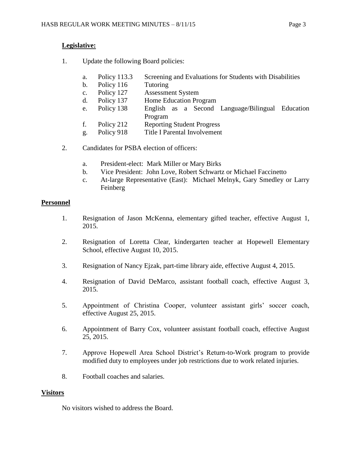# **Legislative:**

- 1. Update the following Board policies:
	- a. Policy 113.3 Screening and Evaluations for Students with Disabilities
	- b. Policy 116 Tutoring
	- c. Policy 127 Assessment System
	- d. Policy 137 Home Education Program
	- e. Policy 138 English as a Second Language/Bilingual Education Program
	- f. Policy 212 Reporting Student Progress
	- g. Policy 918 Title I Parental Involvement
- 2. Candidates for PSBA election of officers:
	- a. President-elect: Mark Miller or Mary Birks
	- b. Vice President: John Love, Robert Schwartz or Michael Faccinetto
	- c. At-large Representative (East): Michael Melnyk, Gary Smedley or Larry Feinberg

# **Personnel**

- 1. Resignation of Jason McKenna, elementary gifted teacher, effective August 1, 2015.
- 2. Resignation of Loretta Clear, kindergarten teacher at Hopewell Elementary School, effective August 10, 2015.
- 3. Resignation of Nancy Ejzak, part-time library aide, effective August 4, 2015.
- 4. Resignation of David DeMarco, assistant football coach, effective August 3, 2015.
- 5. Appointment of Christina Cooper, volunteer assistant girls' soccer coach, effective August 25, 2015.
- 6. Appointment of Barry Cox, volunteer assistant football coach, effective August 25, 2015.
- 7. Approve Hopewell Area School District's Return-to-Work program to provide modified duty to employees under job restrictions due to work related injuries.
- 8. Football coaches and salaries.

# **Visitors**

No visitors wished to address the Board.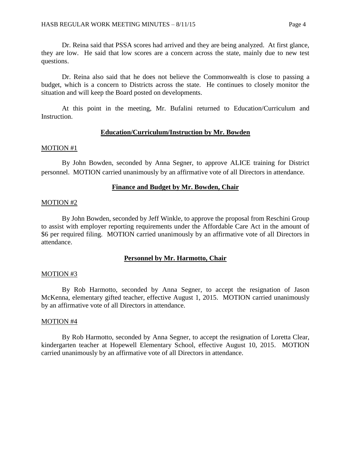Dr. Reina said that PSSA scores had arrived and they are being analyzed. At first glance, they are low. He said that low scores are a concern across the state, mainly due to new test questions.

Dr. Reina also said that he does not believe the Commonwealth is close to passing a budget, which is a concern to Districts across the state. He continues to closely monitor the situation and will keep the Board posted on developments.

At this point in the meeting, Mr. Bufalini returned to Education/Curriculum and Instruction.

#### **Education/Curriculum/Instruction by Mr. Bowden**

#### MOTION #1

By John Bowden, seconded by Anna Segner, to approve ALICE training for District personnel. MOTION carried unanimously by an affirmative vote of all Directors in attendance.

#### **Finance and Budget by Mr. Bowden, Chair**

#### MOTION #2

By John Bowden, seconded by Jeff Winkle, to approve the proposal from Reschini Group to assist with employer reporting requirements under the Affordable Care Act in the amount of \$6 per required filing. MOTION carried unanimously by an affirmative vote of all Directors in attendance.

### **Personnel by Mr. Harmotto, Chair**

#### MOTION #3

By Rob Harmotto, seconded by Anna Segner, to accept the resignation of Jason McKenna, elementary gifted teacher, effective August 1, 2015. MOTION carried unanimously by an affirmative vote of all Directors in attendance.

#### MOTION #4

By Rob Harmotto, seconded by Anna Segner, to accept the resignation of Loretta Clear, kindergarten teacher at Hopewell Elementary School, effective August 10, 2015. MOTION carried unanimously by an affirmative vote of all Directors in attendance.